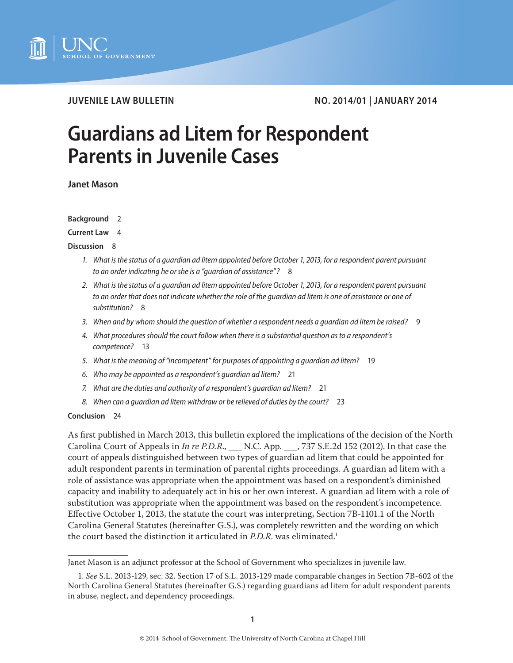

# **JUVENILE LAW BULLETIN NO. 2014/01 | JANUARY 2014**

# **Guardians ad Litem for Respondent Parents in Juvenile Cases**

**Janet Mason**

**Background** 2

#### **Current Law** 4

**Discussion** 8

- 1. *What is the status of a guardian ad litem appointed before October 1, 2013, for a respondent parent pursuant to an order indicating he or she is a "guardian of assistance" ?* 8
- 2. *What is the status of a guardian ad litem appointed before October 1, 2013, for a respondent parent pursuant to an order that does not indicate whether the role of the guardian ad litem is one of assistance or one of substitution?* 8
- *3. When and by whom should the question of whether a respondent needs a guardian ad litem be raised?* 9
- *4. What procedures should the court follow when there is a substantial question as to a respondent's competence?* 13
- *5. What is the meaning of "incompetent" for purposes of appointing a guardian ad litem?* 19
- *6. Who may be appointed as a respondent's guardian ad litem?* 21
- *7. What are the duties and authority of a respondent's guardian ad litem?* 21
- *8. When can a guardian ad litem withdraw or be relieved of duties by the court?* 23

## **Conclusion** 24

As first published in March 2013, this bulletin explored the implications of the decision of the North Carolina Court of Appeals in *In re P.D.R*., \_\_\_ N.C. App. \_\_\_, 737 S.E.2d 152 (2012). In that case the court of appeals distinguished between two types of guardian ad litem that could be appointed for adult respondent parents in termination of parental rights proceedings. A guardian ad litem with a role of assistance was appropriate when the appointment was based on a respondent's diminished capacity and inability to adequately act in his or her own interest. A guardian ad litem with a role of substitution was appropriate when the appointment was based on the respondent's incompetence. Effective October 1, 2013, the statute the court was interpreting, Section 7B-1101.1 of the North Carolina General Statutes (hereinafter G.S.), was completely rewritten and the wording on which the court based the distinction it articulated in *P.D.R*. was eliminated.<sup>1</sup>

Janet Mason is an adjunct professor at the School of Government who specializes in juvenile law.

<sup>1.</sup> *See* S.L. 2013-129, sec. 32. Section 17 of S.L. 2013-129 made comparable changes in Section 7B-602 of the North Carolina General Statutes (hereinafter G.S.) regarding guardians ad litem for adult respondent parents in abuse, neglect, and dependency proceedings.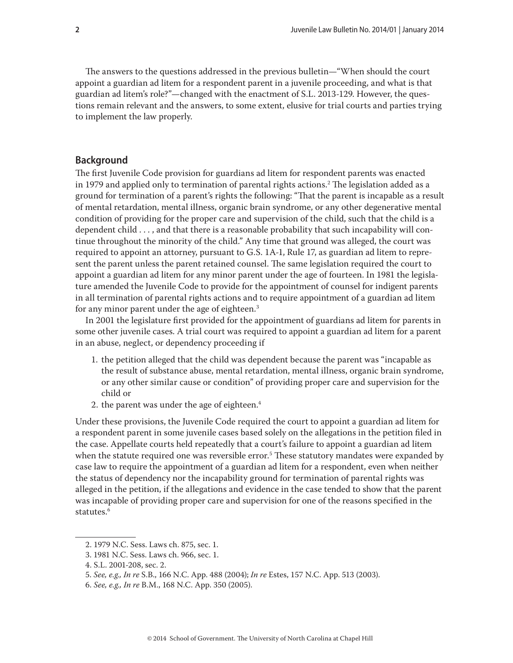The answers to the questions addressed in the previous bulletin—"When should the court appoint a guardian ad litem for a respondent parent in a juvenile proceeding, and what is that guardian ad litem's role?"—changed with the enactment of S.L. 2013-129. However, the questions remain relevant and the answers, to some extent, elusive for trial courts and parties trying to implement the law properly.

# **Background**

The first Juvenile Code provision for guardians ad litem for respondent parents was enacted in 1979 and applied only to termination of parental rights actions. $^{\rm 2}$  The legislation added as a ground for termination of a parent's rights the following: "That the parent is incapable as a result of mental retardation, mental illness, organic brain syndrome, or any other degenerative mental condition of providing for the proper care and supervision of the child, such that the child is a dependent child . . . , and that there is a reasonable probability that such incapability will continue throughout the minority of the child." Any time that ground was alleged, the court was required to appoint an attorney, pursuant to G.S. 1A-1, Rule 17, as guardian ad litem to represent the parent unless the parent retained counsel. The same legislation required the court to appoint a guardian ad litem for any minor parent under the age of fourteen. In 1981 the legislature amended the Juvenile Code to provide for the appointment of counsel for indigent parents in all termination of parental rights actions and to require appointment of a guardian ad litem for any minor parent under the age of eighteen.<sup>3</sup>

In 2001 the legislature first provided for the appointment of guardians ad litem for parents in some other juvenile cases. A trial court was required to appoint a guardian ad litem for a parent in an abuse, neglect, or dependency proceeding if

- 1. the petition alleged that the child was dependent because the parent was "incapable as the result of substance abuse, mental retardation, mental illness, organic brain syndrome, or any other similar cause or condition" of providing proper care and supervision for the child or
- 2. the parent was under the age of eighteen.<sup>4</sup>

Under these provisions, the Juvenile Code required the court to appoint a guardian ad litem for a respondent parent in some juvenile cases based solely on the allegations in the petition filed in the case. Appellate courts held repeatedly that a court's failure to appoint a guardian ad litem when the statute required one was reversible error.<sup>5</sup> These statutory mandates were expanded by case law to require the appointment of a guardian ad litem for a respondent, even when neither the status of dependency nor the incapability ground for termination of parental rights was alleged in the petition, if the allegations and evidence in the case tended to show that the parent was incapable of providing proper care and supervision for one of the reasons specified in the statutes.<sup>6</sup>

<sup>2. 1979</sup> N.C. Sess. Laws ch. 875, sec. 1.

<sup>3. 1981</sup> N.C. Sess. Laws ch. 966, sec. 1.

<sup>4.</sup> S.L. 2001-208, sec. 2.

<sup>5.</sup> *See, e.g., In re* S.B., 166 N.C. App. 488 (2004); *In re* Estes, 157 N.C. App. 513 (2003).

<sup>6.</sup> *See, e.g., In re* B.M., 168 N.C. App. 350 (2005).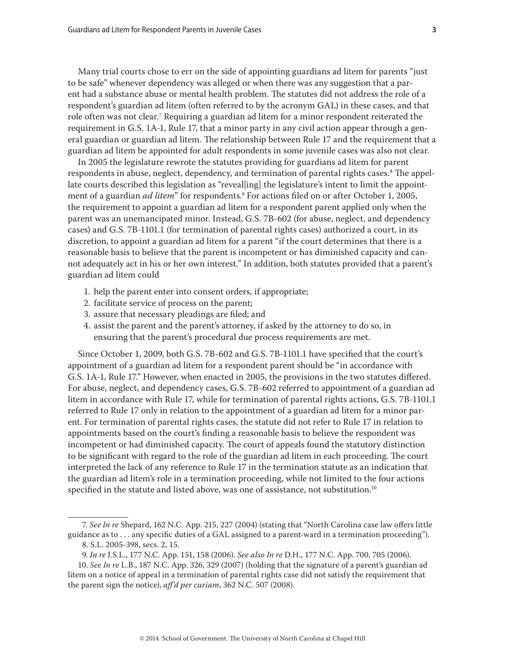Many trial courts chose to err on the side of appointing guardians ad litem for parents "just to be safe" whenever dependency was alleged or when there was any suggestion that a parent had a substance abuse or mental health problem. The statutes did not address the role of a respondent's guardian ad litem (often referred to by the acronym GAL) in these cases, and that role often was not clear.<sup>7</sup> Requiring a guardian ad litem for a minor respondent reiterated the requirement in G.S. 1A-1, Rule 17, that a minor party in any civil action appear through a general guardian or guardian ad litem. The relationship between Rule 17 and the requirement that a guardian ad litem be appointed for adult respondents in some juvenile cases was also not clear.

In 2005 the legislature rewrote the statutes providing for guardians ad litem for parent respondents in abuse, neglect, dependency, and termination of parental rights cases.<sup>8</sup> The appellate courts described this legislation as "reveal[ing] the legislature's intent to limit the appointment of a guardian *ad litem*" for respondents.9 For actions filed on or after October 1, 2005, the requirement to appoint a guardian ad litem for a respondent parent applied only when the parent was an unemancipated minor. Instead, G.S. 7B-602 (for abuse, neglect, and dependency cases) and G.S. 7B-1101.1 (for termination of parental rights cases) authorized a court, in its discretion, to appoint a guardian ad litem for a parent "if the court determines that there is a reasonable basis to believe that the parent is incompetent or has diminished capacity and cannot adequately act in his or her own interest." In addition, both statutes provided that a parent's guardian ad litem could

- 1. help the parent enter into consent orders, if appropriate;
- 2. facilitate service of process on the parent;
- 3. assure that necessary pleadings are filed; and
- 4. assist the parent and the parent's attorney, if asked by the attorney to do so, in ensuring that the parent's procedural due process requirements are met.

Since October 1, 2009, both G.S. 7B-602 and G.S. 7B-1101.1 have specified that the court's appointment of a guardian ad litem for a respondent parent should be "in accordance with G.S. 1A-1, Rule 17." However, when enacted in 2005, the provisions in the two statutes differed. For abuse, neglect, and dependency cases, G.S. 7B-602 referred to appointment of a guardian ad litem in accordance with Rule 17, while for termination of parental rights actions, G.S. 7B-1101.1 referred to Rule 17 only in relation to the appointment of a guardian ad litem for a minor parent. For termination of parental rights cases, the statute did not refer to Rule 17 in relation to appointments based on the court's finding a reasonable basis to believe the respondent was incompetent or had diminished capacity. The court of appeals found the statutory distinction to be significant with regard to the role of the guardian ad litem in each proceeding. The court interpreted the lack of any reference to Rule 17 in the termination statute as an indication that the guardian ad litem's role in a termination proceeding, while not limited to the four actions specified in the statute and listed above, was one of assistance, not substitution.<sup>10</sup>

<sup>7.</sup> *See In re* Shepard, 162 N.C. App. 215, 227 (2004) (stating that "North Carolina case law offers little guidance as to . . . any specific duties of a GAL assigned to a parent-ward in a termination proceeding"). 8. S.L. 2005-398, secs. 2, 15.

<sup>9.</sup> *In re* J.S.L., 177 N.C. App. 151, 158 (2006). *See also In re* D.H., 177 N.C. App. 700, 705 (2006).

<sup>10.</sup> *See In re* L.B., 187 N.C. App. 326, 329 (2007) (holding that the signature of a parent's guardian ad litem on a notice of appeal in a termination of parental rights case did not satisfy the requirement that the parent sign the notice), *aff'd per curiam*, 362 N.C. 507 (2008).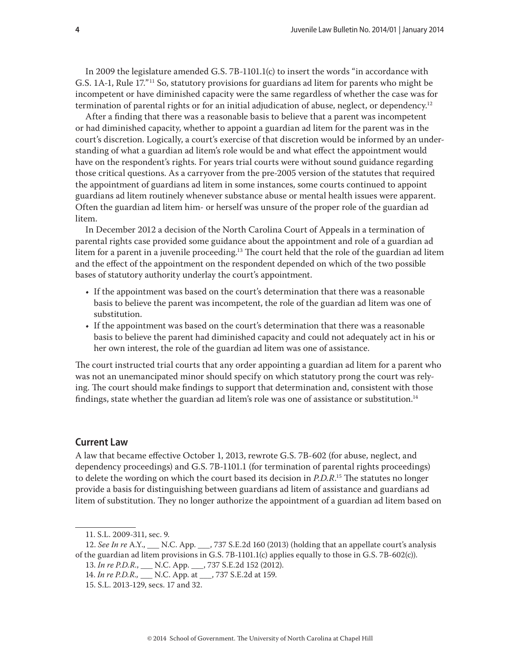In 2009 the legislature amended G.S. 7B-1101.1(c) to insert the words "in accordance with G.S. 1A-1, Rule 17."<sup>11</sup> So, statutory provisions for guardians ad litem for parents who might be incompetent or have diminished capacity were the same regardless of whether the case was for termination of parental rights or for an initial adjudication of abuse, neglect, or dependency.<sup>12</sup>

After a finding that there was a reasonable basis to believe that a parent was incompetent or had diminished capacity, whether to appoint a guardian ad litem for the parent was in the court's discretion. Logically, a court's exercise of that discretion would be informed by an understanding of what a guardian ad litem's role would be and what effect the appointment would have on the respondent's rights. For years trial courts were without sound guidance regarding those critical questions. As a carryover from the pre-2005 version of the statutes that required the appointment of guardians ad litem in some instances, some courts continued to appoint guardians ad litem routinely whenever substance abuse or mental health issues were apparent. Often the guardian ad litem him- or herself was unsure of the proper role of the guardian ad litem.

In December 2012 a decision of the North Carolina Court of Appeals in a termination of parental rights case provided some guidance about the appointment and role of a guardian ad litem for a parent in a juvenile proceeding.<sup>13</sup> The court held that the role of the guardian ad litem and the effect of the appointment on the respondent depended on which of the two possible bases of statutory authority underlay the court's appointment.

- If the appointment was based on the court's determination that there was a reasonable basis to believe the parent was incompetent, the role of the guardian ad litem was one of substitution.
- If the appointment was based on the court's determination that there was a reasonable basis to believe the parent had diminished capacity and could not adequately act in his or her own interest, the role of the guardian ad litem was one of assistance.

The court instructed trial courts that any order appointing a guardian ad litem for a parent who was not an unemancipated minor should specify on which statutory prong the court was relying. The court should make findings to support that determination and, consistent with those findings, state whether the guardian ad litem's role was one of assistance or substitution.<sup>14</sup>

# **Current Law**

A law that became effective October 1, 2013, rewrote G.S. 7B-602 (for abuse, neglect, and dependency proceedings) and G.S. 7B-1101.1 (for termination of parental rights proceedings) to delete the wording on which the court based its decision in *P.D.R*. 15 The statutes no longer provide a basis for distinguishing between guardians ad litem of assistance and guardians ad litem of substitution. They no longer authorize the appointment of a guardian ad litem based on

<sup>11.</sup> S.L. 2009-311, sec. 9.

<sup>12.</sup> *See In re* A.Y., \_\_\_ N.C. App. \_\_\_, 737 S.E.2d 160 (2013) (holding that an appellate court's analysis of the guardian ad litem provisions in G.S. 7B-1101.1(c) applies equally to those in G.S. 7B-602(c)).

<sup>13.</sup> *In re P.D.R.*, \_\_\_ N.C. App. \_\_\_, 737 S.E.2d 152 (2012).

<sup>14.</sup> *In re P.D.R.,* \_\_\_ N.C. App. at \_\_\_, 737 S.E.2d at 159.

<sup>15.</sup> S.L. 2013-129, secs. 17 and 32.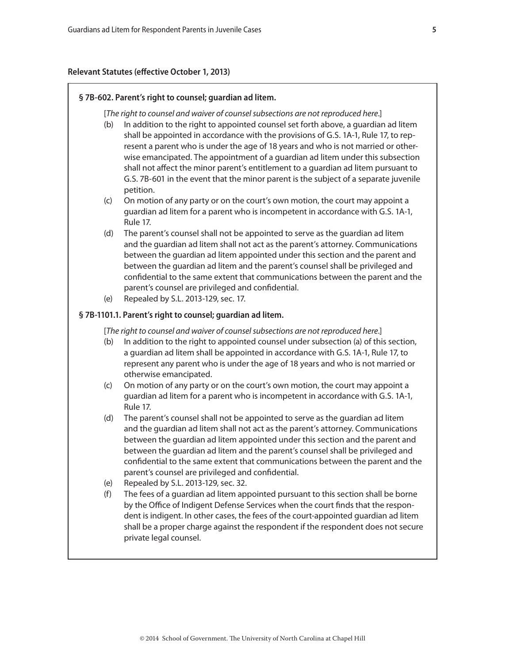### **Relevant Statutes (effective October 1, 2013)**

# **§ 7B-602. Parent's right to counsel; guardian ad litem.**

[*The right to counsel and waiver of counsel subsections are not reproduced here*.]

- (b) In addition to the right to appointed counsel set forth above, a guardian ad litem shall be appointed in accordance with the provisions of G.S. 1A-1, Rule 17, to represent a parent who is under the age of 18 years and who is not married or otherwise emancipated. The appointment of a guardian ad litem under this subsection shall not affect the minor parent's entitlement to a guardian ad litem pursuant to G.S. 7B-601 in the event that the minor parent is the subject of a separate juvenile petition.
- (c) On motion of any party or on the court's own motion, the court may appoint a guardian ad litem for a parent who is incompetent in accordance with G.S. 1A-1, Rule 17.
- (d) The parent's counsel shall not be appointed to serve as the guardian ad litem and the guardian ad litem shall not act as the parent's attorney. Communications between the guardian ad litem appointed under this section and the parent and between the guardian ad litem and the parent's counsel shall be privileged and confidential to the same extent that communications between the parent and the parent's counsel are privileged and confidential.
- (e) Repealed by S.L. 2013-129, sec. 17.

### **§ 7B-1101.1. Parent's right to counsel; guardian ad litem.**

[*The right to counsel and waiver of counsel subsections are not reproduced here*.]

- (b) In addition to the right to appointed counsel under subsection (a) of this section, a guardian ad litem shall be appointed in accordance with G.S. 1A-1, Rule 17, to represent any parent who is under the age of 18 years and who is not married or otherwise emancipated.
- (c) On motion of any party or on the court's own motion, the court may appoint a guardian ad litem for a parent who is incompetent in accordance with G.S. 1A-1, Rule 17.
- (d) The parent's counsel shall not be appointed to serve as the guardian ad litem and the guardian ad litem shall not act as the parent's attorney. Communications between the guardian ad litem appointed under this section and the parent and between the guardian ad litem and the parent's counsel shall be privileged and confidential to the same extent that communications between the parent and the parent's counsel are privileged and confidential.
- (e) Repealed by S.L. 2013-129, sec. 32.
- (f) The fees of a guardian ad litem appointed pursuant to this section shall be borne by the Office of Indigent Defense Services when the court finds that the respondent is indigent. In other cases, the fees of the court-appointed guardian ad litem shall be a proper charge against the respondent if the respondent does not secure private legal counsel.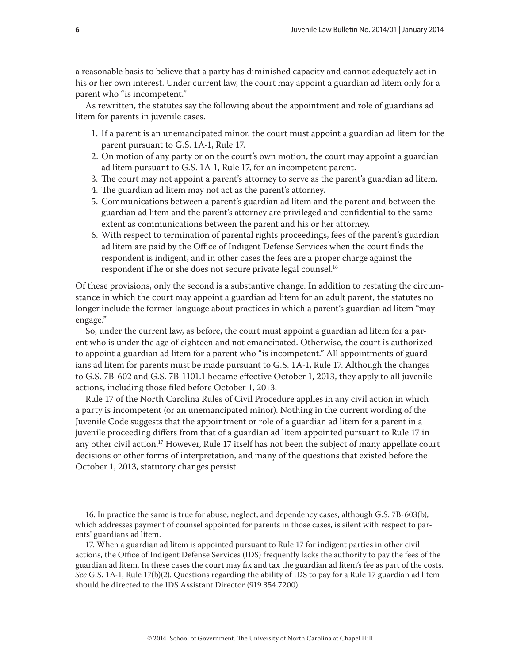a reasonable basis to believe that a party has diminished capacity and cannot adequately act in his or her own interest. Under current law, the court may appoint a guardian ad litem only for a parent who "is incompetent."

As rewritten, the statutes say the following about the appointment and role of guardians ad litem for parents in juvenile cases.

- 1. If a parent is an unemancipated minor, the court must appoint a guardian ad litem for the parent pursuant to G.S. 1A-1, Rule 17.
- 2. On motion of any party or on the court's own motion, the court may appoint a guardian ad litem pursuant to G.S. 1A-1, Rule 17, for an incompetent parent.
- 3. The court may not appoint a parent's attorney to serve as the parent's guardian ad litem.
- 4. The guardian ad litem may not act as the parent's attorney.
- 5. Communications between a parent's guardian ad litem and the parent and between the guardian ad litem and the parent's attorney are privileged and confidential to the same extent as communications between the parent and his or her attorney.
- 6. With respect to termination of parental rights proceedings, fees of the parent's guardian ad litem are paid by the Office of Indigent Defense Services when the court finds the respondent is indigent, and in other cases the fees are a proper charge against the respondent if he or she does not secure private legal counsel.16

Of these provisions, only the second is a substantive change. In addition to restating the circumstance in which the court may appoint a guardian ad litem for an adult parent, the statutes no longer include the former language about practices in which a parent's guardian ad litem "may engage."

So, under the current law, as before, the court must appoint a guardian ad litem for a parent who is under the age of eighteen and not emancipated. Otherwise, the court is authorized to appoint a guardian ad litem for a parent who "is incompetent." All appointments of guardians ad litem for parents must be made pursuant to G.S. 1A-1, Rule 17. Although the changes to G.S. 7B-602 and G.S. 7B-1101.1 became effective October 1, 2013, they apply to all juvenile actions, including those filed before October 1, 2013.

Rule 17 of the North Carolina Rules of Civil Procedure applies in any civil action in which a party is incompetent (or an unemancipated minor). Nothing in the current wording of the Juvenile Code suggests that the appointment or role of a guardian ad litem for a parent in a juvenile proceeding differs from that of a guardian ad litem appointed pursuant to Rule 17 in any other civil action.<sup>17</sup> However, Rule 17 itself has not been the subject of many appellate court decisions or other forms of interpretation, and many of the questions that existed before the October 1, 2013, statutory changes persist.

<sup>16.</sup> In practice the same is true for abuse, neglect, and dependency cases, although G.S. 7B-603(b), which addresses payment of counsel appointed for parents in those cases, is silent with respect to parents' guardians ad litem.

<sup>17.</sup> When a guardian ad litem is appointed pursuant to Rule 17 for indigent parties in other civil actions, the Office of Indigent Defense Services (IDS) frequently lacks the authority to pay the fees of the guardian ad litem. In these cases the court may fix and tax the guardian ad litem's fee as part of the costs. *See* G.S. 1A-1, Rule 17(b)(2). Questions regarding the ability of IDS to pay for a Rule 17 guardian ad litem should be directed to the IDS Assistant Director (919.354.7200).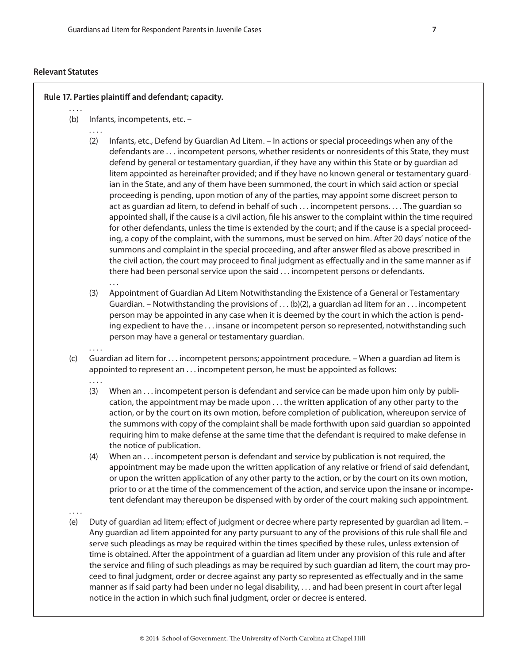### **Relevant Statutes**

## **Rule 17. Parties plaintiff and defendant; capacity.**

. . . .

(b) Infants, incompetents, etc. –

- . . . .
- (2) Infants, etc., Defend by Guardian Ad Litem. In actions or special proceedings when any of the defendants are . . . incompetent persons, whether residents or nonresidents of this State, they must defend by general or testamentary guardian, if they have any within this State or by guardian ad litem appointed as hereinafter provided; and if they have no known general or testamentary guardian in the State, and any of them have been summoned, the court in which said action or special proceeding is pending, upon motion of any of the parties, may appoint some discreet person to act as guardian ad litem, to defend in behalf of such . . . incompetent persons. . . . The guardian so appointed shall, if the cause is a civil action, file his answer to the complaint within the time required for other defendants, unless the time is extended by the court; and if the cause is a special proceeding, a copy of the complaint, with the summons, must be served on him. After 20 days' notice of the summons and complaint in the special proceeding, and after answer filed as above prescribed in the civil action, the court may proceed to final judgment as effectually and in the same manner as if there had been personal service upon the said . . . incompetent persons or defendants. . . .
- (3) Appointment of Guardian Ad Litem Notwithstanding the Existence of a General or Testamentary Guardian. – Notwithstanding the provisions of  $\dots$  (b)(2), a guardian ad litem for an  $\dots$  incompetent person may be appointed in any case when it is deemed by the court in which the action is pending expedient to have the . . . insane or incompetent person so represented, notwithstanding such person may have a general or testamentary guardian.
- . . . . (c) Guardian ad litem for . . . incompetent persons; appointment procedure. – When a guardian ad litem is appointed to represent an . . . incompetent person, he must be appointed as follows:
	- . . . .
	- (3) When an . . . incompetent person is defendant and service can be made upon him only by publication, the appointment may be made upon . . . the written application of any other party to the action, or by the court on its own motion, before completion of publication, whereupon service of the summons with copy of the complaint shall be made forthwith upon said guardian so appointed requiring him to make defense at the same time that the defendant is required to make defense in the notice of publication.
	- (4) When an . . . incompetent person is defendant and service by publication is not required, the appointment may be made upon the written application of any relative or friend of said defendant, or upon the written application of any other party to the action, or by the court on its own motion, prior to or at the time of the commencement of the action, and service upon the insane or incompetent defendant may thereupon be dispensed with by order of the court making such appointment.
- . . . .
- (e) Duty of guardian ad litem; effect of judgment or decree where party represented by guardian ad litem. Any guardian ad litem appointed for any party pursuant to any of the provisions of this rule shall file and serve such pleadings as may be required within the times specified by these rules, unless extension of time is obtained. After the appointment of a guardian ad litem under any provision of this rule and after the service and filing of such pleadings as may be required by such guardian ad litem, the court may proceed to final judgment, order or decree against any party so represented as effectually and in the same manner as if said party had been under no legal disability, . . . and had been present in court after legal notice in the action in which such final judgment, order or decree is entered.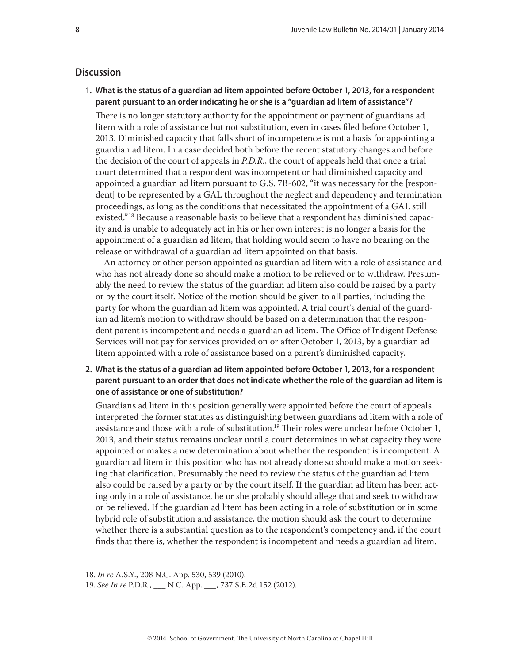## **Discussion**

# **1. What is the status of a guardian ad litem appointed before October 1, 2013, for a respondent parent pursuant to an order indicating he or she is a "guardian ad litem of assistance"?**

There is no longer statutory authority for the appointment or payment of guardians ad litem with a role of assistance but not substitution, even in cases filed before October 1, 2013. Diminished capacity that falls short of incompetence is not a basis for appointing a guardian ad litem. In a case decided both before the recent statutory changes and before the decision of the court of appeals in *P.D.R.*, the court of appeals held that once a trial court determined that a respondent was incompetent or had diminished capacity and appointed a guardian ad litem pursuant to G.S. 7B-602, "it was necessary for the [respondent] to be represented by a GAL throughout the neglect and dependency and termination proceedings, as long as the conditions that necessitated the appointment of a GAL still existed." <sup>18</sup> Because a reasonable basis to believe that a respondent has diminished capacity and is unable to adequately act in his or her own interest is no longer a basis for the appointment of a guardian ad litem, that holding would seem to have no bearing on the release or withdrawal of a guardian ad litem appointed on that basis.

An attorney or other person appointed as guardian ad litem with a role of assistance and who has not already done so should make a motion to be relieved or to withdraw. Presumably the need to review the status of the guardian ad litem also could be raised by a party or by the court itself. Notice of the motion should be given to all parties, including the party for whom the guardian ad litem was appointed. A trial court's denial of the guardian ad litem's motion to withdraw should be based on a determination that the respondent parent is incompetent and needs a guardian ad litem. The Office of Indigent Defense Services will not pay for services provided on or after October 1, 2013, by a guardian ad litem appointed with a role of assistance based on a parent's diminished capacity.

# **2. What is the status of a guardian ad litem appointed before October 1, 2013, for a respondent parent pursuant to an order that does not indicate whether the role of the guardian ad litem is one of assistance or one of substitution?**

Guardians ad litem in this position generally were appointed before the court of appeals interpreted the former statutes as distinguishing between guardians ad litem with a role of assistance and those with a role of substitution.<sup>19</sup> Their roles were unclear before October 1, 2013, and their status remains unclear until a court determines in what capacity they were appointed or makes a new determination about whether the respondent is incompetent. A guardian ad litem in this position who has not already done so should make a motion seeking that clarification. Presumably the need to review the status of the guardian ad litem also could be raised by a party or by the court itself. If the guardian ad litem has been acting only in a role of assistance, he or she probably should allege that and seek to withdraw or be relieved. If the guardian ad litem has been acting in a role of substitution or in some hybrid role of substitution and assistance, the motion should ask the court to determine whether there is a substantial question as to the respondent's competency and, if the court finds that there is, whether the respondent is incompetent and needs a guardian ad litem.

<sup>18.</sup> *In re* A.S.Y., 208 N.C. App. 530, 539 (2010).

<sup>19.</sup> *See In re* P.D.R., \_\_\_ N.C. App. \_\_\_, 737 S.E.2d 152 (2012).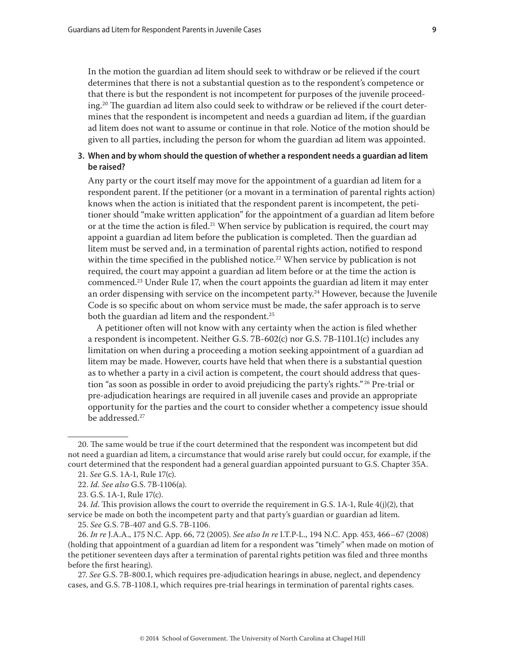In the motion the guardian ad litem should seek to withdraw or be relieved if the court determines that there is not a substantial question as to the respondent's competence or that there is but the respondent is not incompetent for purposes of the juvenile proceeding.20 The guardian ad litem also could seek to withdraw or be relieved if the court determines that the respondent is incompetent and needs a guardian ad litem, if the guardian ad litem does not want to assume or continue in that role. Notice of the motion should be given to all parties, including the person for whom the guardian ad litem was appointed.

# **3. When and by whom should the question of whether a respondent needs a guardian ad litem be raised?**

Any party or the court itself may move for the appointment of a guardian ad litem for a respondent parent. If the petitioner (or a movant in a termination of parental rights action) knows when the action is initiated that the respondent parent is incompetent, the petitioner should "make written application" for the appointment of a guardian ad litem before or at the time the action is filed.<sup>21</sup> When service by publication is required, the court may appoint a guardian ad litem before the publication is completed. Then the guardian ad litem must be served and, in a termination of parental rights action, notified to respond within the time specified in the published notice.<sup>22</sup> When service by publication is not required, the court may appoint a guardian ad litem before or at the time the action is commenced.23 Under Rule 17, when the court appoints the guardian ad litem it may enter an order dispensing with service on the incompetent party.<sup>24</sup> However, because the Juvenile Code is so specific about on whom service must be made, the safer approach is to serve both the guardian ad litem and the respondent.<sup>25</sup>

A petitioner often will not know with any certainty when the action is filed whether a respondent is incompetent. Neither G.S. 7B-602(c) nor G.S. 7B-1101.1(c) includes any limitation on when during a proceeding a motion seeking appointment of a guardian ad litem may be made. However, courts have held that when there is a substantial question as to whether a party in a civil action is competent, the court should address that question "as soon as possible in order to avoid prejudicing the party's rights." 26 Pre-trial or pre-adjudication hearings are required in all juvenile cases and provide an appropriate opportunity for the parties and the court to consider whether a competency issue should be addressed.<sup>27</sup>

27. *See* G.S. 7B-800.1, which requires pre-adjudication hearings in abuse, neglect, and dependency cases, and G.S. 7B-1108.1, which requires pre-trial hearings in termination of parental rights cases.

<sup>20.</sup> The same would be true if the court determined that the respondent was incompetent but did not need a guardian ad litem, a circumstance that would arise rarely but could occur, for example, if the court determined that the respondent had a general guardian appointed pursuant to G.S. Chapter 35A.

<sup>21.</sup> *See* G.S. 1A-1, Rule 17(c).

<sup>22.</sup> *Id*. *See also* G.S. 7B-1106(a).

<sup>23.</sup> G.S. 1A-1, Rule 17(c).

<sup>24.</sup> *Id*. This provision allows the court to override the requirement in G.S. 1A-1, Rule 4(j)(2), that service be made on both the incompetent party and that party's guardian or guardian ad litem.

<sup>25.</sup> *See* G.S. 7B-407 and G.S. 7B-1106.

<sup>26.</sup> *In re* J.A.A., 175 N.C. App. 66, 72 (2005). *See also In re* I.T.P-L., 194 N.C. App. 453, 466–67 (2008) (holding that appointment of a guardian ad litem for a respondent was "timely" when made on motion of the petitioner seventeen days after a termination of parental rights petition was filed and three months before the first hearing).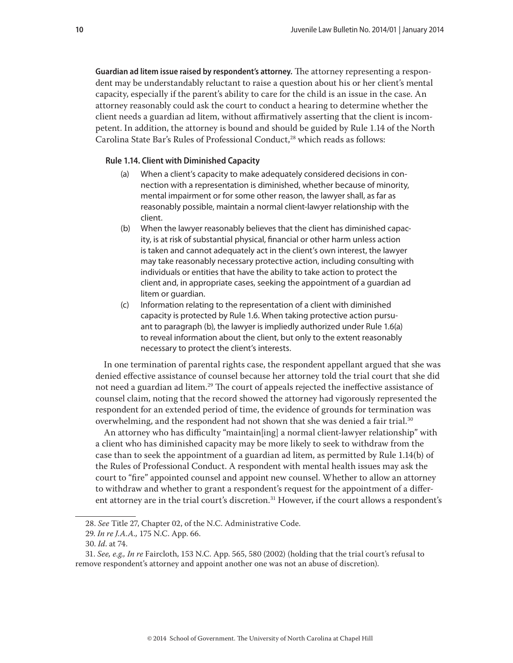**Guardian ad litem issue raised by respondent's attorney.** The attorney representing a respondent may be understandably reluctant to raise a question about his or her client's mental capacity, especially if the parent's ability to care for the child is an issue in the case. An attorney reasonably could ask the court to conduct a hearing to determine whether the client needs a guardian ad litem, without affirmatively asserting that the client is incompetent. In addition, the attorney is bound and should be guided by Rule 1.14 of the North Carolina State Bar's Rules of Professional Conduct,<sup>28</sup> which reads as follows:

#### **Rule 1.14. Client with Diminished Capacity**

- (a) When a client's capacity to make adequately considered decisions in connection with a representation is diminished, whether because of minority, mental impairment or for some other reason, the lawyer shall, as far as reasonably possible, maintain a normal client-lawyer relationship with the client.
- (b) When the lawyer reasonably believes that the client has diminished capacity, is at risk of substantial physical, financial or other harm unless action is taken and cannot adequately act in the client's own interest, the lawyer may take reasonably necessary protective action, including consulting with individuals or entities that have the ability to take action to protect the client and, in appropriate cases, seeking the appointment of a guardian ad litem or guardian.
- (c) Information relating to the representation of a client with diminished capacity is protected by Rule 1.6. When taking protective action pursuant to paragraph (b), the lawyer is impliedly authorized under Rule 1.6(a) to reveal information about the client, but only to the extent reasonably necessary to protect the client's interests.

In one termination of parental rights case, the respondent appellant argued that she was denied effective assistance of counsel because her attorney told the trial court that she did not need a guardian ad litem.<sup>29</sup> The court of appeals rejected the ineffective assistance of counsel claim, noting that the record showed the attorney had vigorously represented the respondent for an extended period of time, the evidence of grounds for termination was overwhelming, and the respondent had not shown that she was denied a fair trial.<sup>30</sup>

An attorney who has difficulty "maintain[ing] a normal client-lawyer relationship" with a client who has diminished capacity may be more likely to seek to withdraw from the case than to seek the appointment of a guardian ad litem, as permitted by Rule 1.14(b) of the Rules of Professional Conduct. A respondent with mental health issues may ask the court to "fire" appointed counsel and appoint new counsel. Whether to allow an attorney to withdraw and whether to grant a respondent's request for the appointment of a different attorney are in the trial court's discretion.<sup>31</sup> However, if the court allows a respondent's

<sup>28.</sup> *See* Title 27, Chapter 02, of the N.C. Administrative Code.

<sup>29.</sup> *In re J.A.A.,* 175 N.C. App. 66.

<sup>30.</sup> *Id*. at 74.

<sup>31.</sup> *See, e.g., In re* Faircloth, 153 N.C. App. 565, 580 (2002) (holding that the trial court's refusal to remove respondent's attorney and appoint another one was not an abuse of discretion).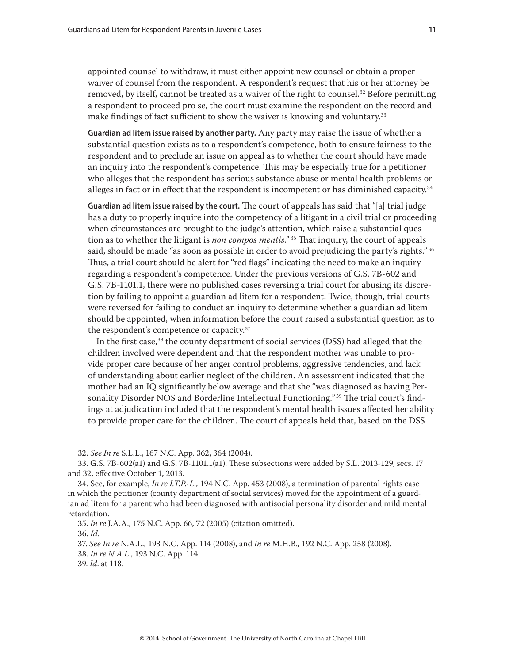appointed counsel to withdraw, it must either appoint new counsel or obtain a proper waiver of counsel from the respondent. A respondent's request that his or her attorney be removed, by itself, cannot be treated as a waiver of the right to counsel.32 Before permitting a respondent to proceed pro se, the court must examine the respondent on the record and make findings of fact sufficient to show the waiver is knowing and voluntary.<sup>33</sup>

**Guardian ad litem issue raised by another party.** Any party may raise the issue of whether a substantial question exists as to a respondent's competence, both to ensure fairness to the respondent and to preclude an issue on appeal as to whether the court should have made an inquiry into the respondent's competence. This may be especially true for a petitioner who alleges that the respondent has serious substance abuse or mental health problems or alleges in fact or in effect that the respondent is incompetent or has diminished capacity.<sup>34</sup>

**Guardian ad litem issue raised by the court.** The court of appeals has said that "[a] trial judge has a duty to properly inquire into the competency of a litigant in a civil trial or proceeding when circumstances are brought to the judge's attention, which raise a substantial question as to whether the litigant is *non compos mentis.*" 35 That inquiry, the court of appeals said, should be made "as soon as possible in order to avoid prejudicing the party's rights." <sup>36</sup> Thus, a trial court should be alert for "red flags" indicating the need to make an inquiry regarding a respondent's competence. Under the previous versions of G.S. 7B-602 and G.S. 7B-1101.1, there were no published cases reversing a trial court for abusing its discretion by failing to appoint a guardian ad litem for a respondent. Twice, though, trial courts were reversed for failing to conduct an inquiry to determine whether a guardian ad litem should be appointed, when information before the court raised a substantial question as to the respondent's competence or capacity.<sup>37</sup>

In the first case,<sup>38</sup> the county department of social services (DSS) had alleged that the children involved were dependent and that the respondent mother was unable to provide proper care because of her anger control problems, aggressive tendencies, and lack of understanding about earlier neglect of the children. An assessment indicated that the mother had an IQ significantly below average and that she "was diagnosed as having Personality Disorder NOS and Borderline Intellectual Functioning."<sup>39</sup> The trial court's findings at adjudication included that the respondent's mental health issues affected her ability to provide proper care for the children. The court of appeals held that, based on the DSS

<sup>32.</sup> *See In re* S.L.L., 167 N.C. App. 362, 364 (2004).

<sup>33.</sup> G.S. 7B-602(a1) and G.S. 7B-1101.1(a1). These subsections were added by S.L. 2013-129, secs. 17 and 32, effective October 1, 2013.

<sup>34.</sup> See, for example, *In re I.T.P.-L.,* 194 N.C. App. 453 (2008), a termination of parental rights case in which the petitioner (county department of social services) moved for the appointment of a guardian ad litem for a parent who had been diagnosed with antisocial personality disorder and mild mental retardation.

<sup>35.</sup> *In re* J.A.A., 175 N.C. App. 66, 72 (2005) (citation omitted).

<sup>36.</sup> *Id*.

<sup>37.</sup> *See In re* N.A.L.*,* 193 N.C. App. 114 (2008), and *In re* M.H.B.*,* 192 N.C. App. 258 (2008).

<sup>38.</sup> *In re N.A.L.*, 193 N.C. App. 114.

<sup>39.</sup> *Id*. at 118.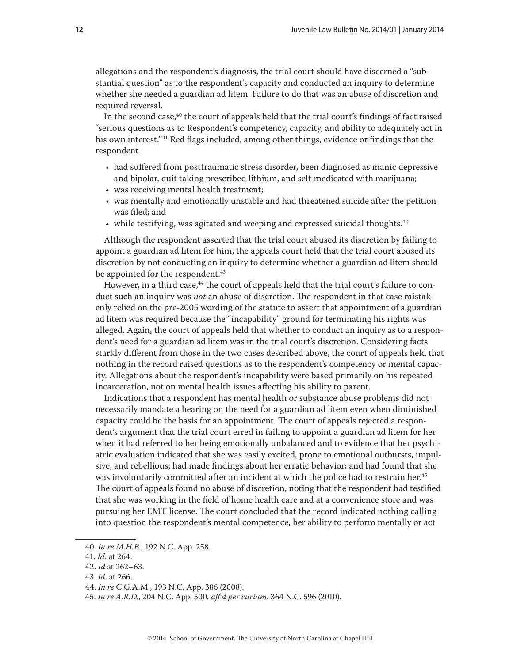allegations and the respondent's diagnosis, the trial court should have discerned a "substantial question" as to the respondent's capacity and conducted an inquiry to determine whether she needed a guardian ad litem. Failure to do that was an abuse of discretion and required reversal.

In the second case, $40$  the court of appeals held that the trial court's findings of fact raised "serious questions as to Respondent's competency, capacity, and ability to adequately act in his own interest."<sup>41</sup> Red flags included, among other things, evidence or findings that the respondent

- had suffered from posttraumatic stress disorder, been diagnosed as manic depressive and bipolar, quit taking prescribed lithium, and self-medicated with marijuana;
- was receiving mental health treatment;
- was mentally and emotionally unstable and had threatened suicide after the petition was filed; and
- while testifying, was agitated and weeping and expressed suicidal thoughts. $42$

Although the respondent asserted that the trial court abused its discretion by failing to appoint a guardian ad litem for him, the appeals court held that the trial court abused its discretion by not conducting an inquiry to determine whether a guardian ad litem should be appointed for the respondent.<sup>43</sup>

However, in a third case,<sup>44</sup> the court of appeals held that the trial court's failure to conduct such an inquiry was *not* an abuse of discretion. The respondent in that case mistakenly relied on the pre-2005 wording of the statute to assert that appointment of a guardian ad litem was required because the "incapability" ground for terminating his rights was alleged. Again, the court of appeals held that whether to conduct an inquiry as to a respondent's need for a guardian ad litem was in the trial court's discretion. Considering facts starkly different from those in the two cases described above, the court of appeals held that nothing in the record raised questions as to the respondent's competency or mental capacity. Allegations about the respondent's incapability were based primarily on his repeated incarceration, not on mental health issues affecting his ability to parent.

Indications that a respondent has mental health or substance abuse problems did not necessarily mandate a hearing on the need for a guardian ad litem even when diminished capacity could be the basis for an appointment. The court of appeals rejected a respondent's argument that the trial court erred in failing to appoint a guardian ad litem for her when it had referred to her being emotionally unbalanced and to evidence that her psychiatric evaluation indicated that she was easily excited, prone to emotional outbursts, impulsive, and rebellious; had made findings about her erratic behavior; and had found that she was involuntarily committed after an incident at which the police had to restrain her.<sup>45</sup> The court of appeals found no abuse of discretion, noting that the respondent had testified that she was working in the field of home health care and at a convenience store and was pursuing her EMT license. The court concluded that the record indicated nothing calling into question the respondent's mental competence, her ability to perform mentally or act

<sup>40.</sup> *In re M.H.B.*, 192 N.C. App. 258.

<sup>41.</sup> *Id*. at 264.

<sup>42.</sup> *Id* at 262–63.

<sup>43.</sup> *Id*. at 266.

<sup>44.</sup> *In re* C.G.A.M., 193 N.C. App. 386 (2008).

<sup>45.</sup> *In re A.R.D*., 204 N.C. App. 500, *aff'd per curiam*, 364 N.C. 596 (2010).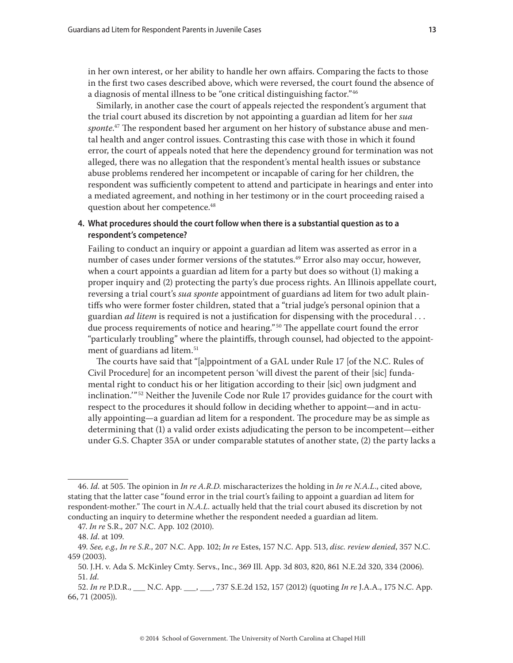in her own interest, or her ability to handle her own affairs. Comparing the facts to those in the first two cases described above, which were reversed, the court found the absence of a diagnosis of mental illness to be "one critical distinguishing factor."46

Similarly, in another case the court of appeals rejected the respondent's argument that the trial court abused its discretion by not appointing a guardian ad litem for her *sua sponte*. 47 The respondent based her argument on her history of substance abuse and mental health and anger control issues. Contrasting this case with those in which it found error, the court of appeals noted that here the dependency ground for termination was not alleged, there was no allegation that the respondent's mental health issues or substance abuse problems rendered her incompetent or incapable of caring for her children, the respondent was sufficiently competent to attend and participate in hearings and enter into a mediated agreement, and nothing in her testimony or in the court proceeding raised a question about her competence.<sup>48</sup>

# **4. What procedures should the court follow when there is a substantial question as to a respondent's competence?**

Failing to conduct an inquiry or appoint a guardian ad litem was asserted as error in a number of cases under former versions of the statutes.<sup>49</sup> Error also may occur, however, when a court appoints a guardian ad litem for a party but does so without (1) making a proper inquiry and (2) protecting the party's due process rights. An Illinois appellate court, reversing a trial court's *sua sponte* appointment of guardians ad litem for two adult plaintiffs who were former foster children, stated that a "trial judge's personal opinion that a guardian *ad litem* is required is not a justification for dispensing with the procedural . . . due process requirements of notice and hearing." 50 The appellate court found the error "particularly troubling" where the plaintiffs, through counsel, had objected to the appointment of guardians ad litem.<sup>51</sup>

The courts have said that "[a]ppointment of a GAL under Rule 17 [of the N.C. Rules of Civil Procedure] for an incompetent person 'will divest the parent of their [sic] fundamental right to conduct his or her litigation according to their [sic] own judgment and inclination.'" 52 Neither the Juvenile Code nor Rule 17 provides guidance for the court with respect to the procedures it should follow in deciding whether to appoint—and in actually appointing—a guardian ad litem for a respondent. The procedure may be as simple as determining that (1) a valid order exists adjudicating the person to be incompetent—either under G.S. Chapter 35A or under comparable statutes of another state, (2) the party lacks a

<sup>46.</sup> *Id.* at 505. The opinion in *In re A.R.D*. mischaracterizes the holding in *In re N.A.L*., cited above, stating that the latter case "found error in the trial court's failing to appoint a guardian ad litem for respondent-mother." The court in *N.A.L.* actually held that the trial court abused its discretion by not conducting an inquiry to determine whether the respondent needed a guardian ad litem.

<sup>47.</sup> *In re* S.R.*,* 207 N.C. App. 102 (2010).

<sup>48.</sup> *Id*. at 109.

<sup>49.</sup> *See, e.g., In re S.R.*, 207 N.C. App. 102; *In re* Estes, 157 N.C. App. 513, *disc. review denied*, 357 N.C. 459 (2003).

<sup>50.</sup> J.H. v. Ada S. McKinley Cmty. Servs., Inc., 369 Ill. App. 3d 803, 820, 861 N.E.2d 320, 334 (2006). 51. *Id*.

<sup>52.</sup> *In re* P.D.R., \_\_\_ N.C. App. \_\_\_, \_\_\_, 737 S.E.2d 152, 157 (2012) (quoting *In re* J.A.A., 175 N.C. App. 66, 71 (2005)).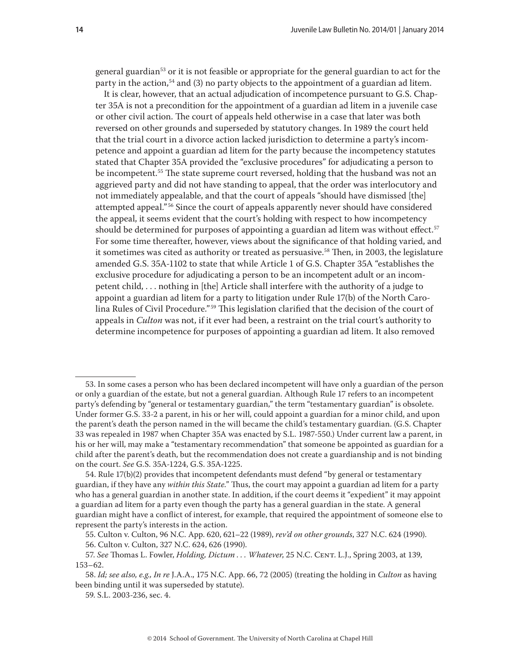general guardian<sup>53</sup> or it is not feasible or appropriate for the general guardian to act for the party in the action,<sup>54</sup> and (3) no party objects to the appointment of a guardian ad litem.

It is clear, however, that an actual adjudication of incompetence pursuant to G.S. Chapter 35A is not a precondition for the appointment of a guardian ad litem in a juvenile case or other civil action. The court of appeals held otherwise in a case that later was both reversed on other grounds and superseded by statutory changes. In 1989 the court held that the trial court in a divorce action lacked jurisdiction to determine a party's incompetence and appoint a guardian ad litem for the party because the incompetency statutes stated that Chapter 35A provided the "exclusive procedures" for adjudicating a person to be incompetent.<sup>55</sup> The state supreme court reversed, holding that the husband was not an aggrieved party and did not have standing to appeal, that the order was interlocutory and not immediately appealable, and that the court of appeals "should have dismissed [the] attempted appeal."<sup>56</sup> Since the court of appeals apparently never should have considered the appeal, it seems evident that the court's holding with respect to how incompetency should be determined for purposes of appointing a guardian ad litem was without effect.<sup>57</sup> For some time thereafter, however, views about the significance of that holding varied, and it sometimes was cited as authority or treated as persuasive.<sup>58</sup> Then, in 2003, the legislature amended G.S. 35A-1102 to state that while Article 1 of G.S. Chapter 35A "establishes the exclusive procedure for adjudicating a person to be an incompetent adult or an incompetent child, . . . nothing in [the] Article shall interfere with the authority of a judge to appoint a guardian ad litem for a party to litigation under Rule 17(b) of the North Carolina Rules of Civil Procedure." 59 This legislation clarified that the decision of the court of appeals in *Culton* was not, if it ever had been, a restraint on the trial court's authority to determine incompetence for purposes of appointing a guardian ad litem. It also removed

<sup>53.</sup> In some cases a person who has been declared incompetent will have only a guardian of the person or only a guardian of the estate, but not a general guardian. Although Rule 17 refers to an incompetent party's defending by "general or testamentary guardian," the term "testamentary guardian" is obsolete. Under former G.S. 33-2 a parent, in his or her will, could appoint a guardian for a minor child, and upon the parent's death the person named in the will became the child's testamentary guardian. (G.S. Chapter 33 was repealed in 1987 when Chapter 35A was enacted by S.L. 1987-550.) Under current law a parent, in his or her will, may make a "testamentary recommendation" that someone be appointed as guardian for a child after the parent's death, but the recommendation does not create a guardianship and is not binding on the court. *See* G.S. 35A-1224, G.S. 35A-1225.

<sup>54.</sup> Rule 17(b)(2) provides that incompetent defendants must defend "by general or testamentary guardian, if they have any *within this State.*" Thus, the court may appoint a guardian ad litem for a party who has a general guardian in another state. In addition, if the court deems it "expedient" it may appoint a guardian ad litem for a party even though the party has a general guardian in the state. A general guardian might have a conflict of interest, for example, that required the appointment of someone else to represent the party's interests in the action.

<sup>55.</sup> Culton v. Culton, 96 N.C. App. 620, 621–22 (1989), *rev'd on other grounds*, 327 N.C. 624 (1990). 56. Culton v. Culton, 327 N.C. 624, 626 (1990).

<sup>57.</sup> *See* Thomas L. Fowler, *Holding, Dictum . . . Whatever*, 25 N.C. Cent. L.J., Spring 2003, at 139, 153–62.

<sup>58.</sup> *Id; see also, e.g., In re* J.A.A., 175 N.C. App. 66, 72 (2005) (treating the holding in *Culton* as having been binding until it was superseded by statute).

<sup>59.</sup> S.L. 2003-236, sec. 4.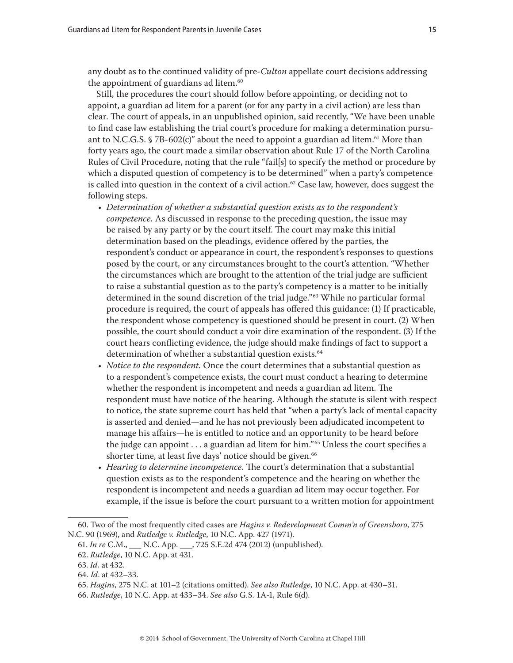any doubt as to the continued validity of pre-*Culton* appellate court decisions addressing the appointment of guardians ad litem.<sup>60</sup>

Still, the procedures the court should follow before appointing, or deciding not to appoint, a guardian ad litem for a parent (or for any party in a civil action) are less than clear. The court of appeals, in an unpublished opinion, said recently, "We have been unable to find case law establishing the trial court's procedure for making a determination pursuant to N.C.G.S.  $$7B-602(c)$ " about the need to appoint a guardian ad litem.<sup>61</sup> More than forty years ago, the court made a similar observation about Rule 17 of the North Carolina Rules of Civil Procedure, noting that the rule "fail[s] to specify the method or procedure by which a disputed question of competency is to be determined" when a party's competence is called into question in the context of a civil action.<sup>62</sup> Case law, however, does suggest the following steps.

- *Determination of whether a substantial question exists as to the respondent's competence.* As discussed in response to the preceding question, the issue may be raised by any party or by the court itself. The court may make this initial determination based on the pleadings, evidence offered by the parties, the respondent's conduct or appearance in court, the respondent's responses to questions posed by the court, or any circumstances brought to the court's attention. "Whether the circumstances which are brought to the attention of the trial judge are sufficient to raise a substantial question as to the party's competency is a matter to be initially determined in the sound discretion of the trial judge."63 While no particular formal procedure is required, the court of appeals has offered this guidance: (1) If practicable, the respondent whose competency is questioned should be present in court. (2) When possible, the court should conduct a voir dire examination of the respondent. (3) If the court hears conflicting evidence, the judge should make findings of fact to support a determination of whether a substantial question exists.<sup>64</sup>
- *Notice to the respondent.* Once the court determines that a substantial question as to a respondent's competence exists, the court must conduct a hearing to determine whether the respondent is incompetent and needs a guardian ad litem. The respondent must have notice of the hearing. Although the statute is silent with respect to notice, the state supreme court has held that "when a party's lack of mental capacity is asserted and denied—and he has not previously been adjudicated incompetent to manage his affairs—he is entitled to notice and an opportunity to be heard before the judge can appoint  $\dots$  a guardian ad litem for him."<sup>65</sup> Unless the court specifies a shorter time, at least five days' notice should be given.<sup>66</sup>
- *Hearing to determine incompetence.* The court's determination that a substantial question exists as to the respondent's competence and the hearing on whether the respondent is incompetent and needs a guardian ad litem may occur together. For example, if the issue is before the court pursuant to a written motion for appointment

<sup>60.</sup> Two of the most frequently cited cases are *Hagins v. Redevelopment Comm'n of Greensboro*, 275 N.C. 90 (1969), and *Rutledge v. Rutledge*, 10 N.C. App. 427 (1971).

<sup>61.</sup> *In re* C.M., \_\_\_ N.C. App. \_\_\_, 725 S.E.2d 474 (2012) (unpublished).

<sup>62.</sup> *Rutledge*, 10 N.C. App. at 431.

<sup>63.</sup> *Id.* at 432.

<sup>64.</sup> *Id*. at 432–33.

<sup>65.</sup> *Hagins*, 275 N.C. at 101–2 (citations omitted). *See also Rutledge*, 10 N.C. App. at 430–31.

<sup>66.</sup> *Rutledge*, 10 N.C. App. at 433–34. *See also* G.S. 1A-1, Rule 6(d).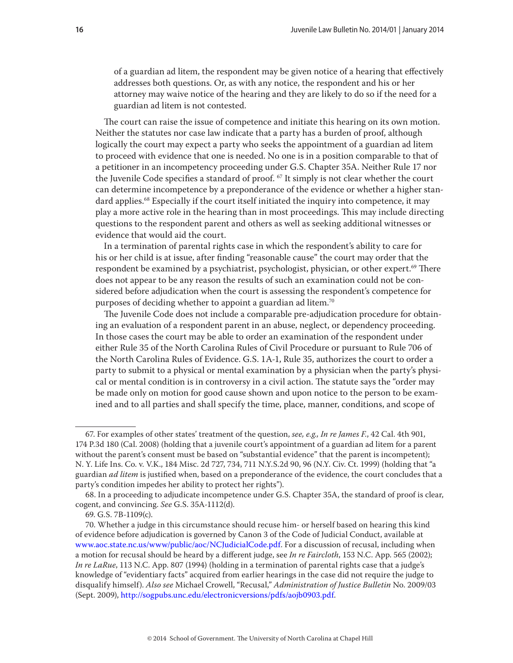of a guardian ad litem, the respondent may be given notice of a hearing that effectively addresses both questions. Or, as with any notice, the respondent and his or her attorney may waive notice of the hearing and they are likely to do so if the need for a guardian ad litem is not contested.

The court can raise the issue of competence and initiate this hearing on its own motion. Neither the statutes nor case law indicate that a party has a burden of proof, although logically the court may expect a party who seeks the appointment of a guardian ad litem to proceed with evidence that one is needed. No one is in a position comparable to that of a petitioner in an incompetency proceeding under G.S. Chapter 35A. Neither Rule 17 nor the Juvenile Code specifies a standard of proof. <sup>67</sup> It simply is not clear whether the court can determine incompetence by a preponderance of the evidence or whether a higher standard applies.<sup>68</sup> Especially if the court itself initiated the inquiry into competence, it may play a more active role in the hearing than in most proceedings. This may include directing questions to the respondent parent and others as well as seeking additional witnesses or evidence that would aid the court.

In a termination of parental rights case in which the respondent's ability to care for his or her child is at issue, after finding "reasonable cause" the court may order that the respondent be examined by a psychiatrist, psychologist, physician, or other expert.<sup>69</sup> There does not appear to be any reason the results of such an examination could not be considered before adjudication when the court is assessing the respondent's competence for purposes of deciding whether to appoint a guardian ad litem.<sup>70</sup>

The Juvenile Code does not include a comparable pre-adjudication procedure for obtaining an evaluation of a respondent parent in an abuse, neglect, or dependency proceeding. In those cases the court may be able to order an examination of the respondent under either Rule 35 of the North Carolina Rules of Civil Procedure or pursuant to Rule 706 of the North Carolina Rules of Evidence. G.S. 1A-1, Rule 35, authorizes the court to order a party to submit to a physical or mental examination by a physician when the party's physical or mental condition is in controversy in a civil action. The statute says the "order may be made only on motion for good cause shown and upon notice to the person to be examined and to all parties and shall specify the time, place, manner, conditions, and scope of

<sup>67.</sup> For examples of other states' treatment of the question, *see, e.g., In re James F.*, 42 Cal. 4th 901, 174 P.3d 180 (Cal. 2008) (holding that a juvenile court's appointment of a guardian ad litem for a parent without the parent's consent must be based on "substantial evidence" that the parent is incompetent); N. Y. Life Ins. Co. v. V.K., 184 Misc. 2d 727, 734, 711 N.Y.S.2d 90, 96 (N.Y. Civ. Ct. 1999) (holding that "a guardian *ad litem* is justified when, based on a preponderance of the evidence, the court concludes that a party's condition impedes her ability to protect her rights").

<sup>68.</sup> In a proceeding to adjudicate incompetence under G.S. Chapter 35A, the standard of proof is clear, cogent, and convincing. *See* G.S. 35A-1112(d).

<sup>69.</sup> G.S. 7B-1109(c).

<sup>70.</sup> Whether a judge in this circumstance should recuse him- or herself based on hearing this kind of evidence before adjudication is governed by Canon 3 of the Code of Judicial Conduct, available at <www.aoc.state.nc.us/www/public/aoc/NCJudicialCode.pdf>. For a discussion of recusal, including when a motion for recusal should be heard by a different judge, see *In re Faircloth*, 153 N.C. App. 565 (2002); *In re LaRue*, 113 N.C. App. 807 (1994) (holding in a termination of parental rights case that a judge's knowledge of "evidentiary facts" acquired from earlier hearings in the case did not require the judge to disqualify himself). *Also see* Michael Crowell, "Recusal," *Administration of Justice Bulletin* No. 2009/03 (Sept. 2009), [http://sogpubs.unc.edu/electronicversions/pdfs/aojb0903.pdf.](http://sogpubs.unc.edu/electronicversions/pdfs/aojb0903.pdf)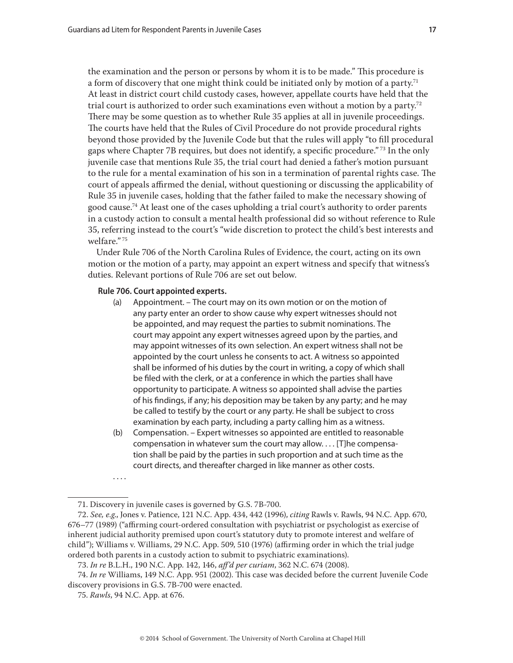the examination and the person or persons by whom it is to be made." This procedure is a form of discovery that one might think could be initiated only by motion of a party.<sup>71</sup> At least in district court child custody cases, however, appellate courts have held that the trial court is authorized to order such examinations even without a motion by a party. $72$ There may be some question as to whether Rule 35 applies at all in juvenile proceedings. The courts have held that the Rules of Civil Procedure do not provide procedural rights beyond those provided by the Juvenile Code but that the rules will apply "to fill procedural gaps where Chapter 7B requires, but does not identify, a specific procedure." 73 In the only juvenile case that mentions Rule 35, the trial court had denied a father's motion pursuant to the rule for a mental examination of his son in a termination of parental rights case. The court of appeals affirmed the denial, without questioning or discussing the applicability of Rule 35 in juvenile cases, holding that the father failed to make the necessary showing of good cause.74 At least one of the cases upholding a trial court's authority to order parents in a custody action to consult a mental health professional did so without reference to Rule 35, referring instead to the court's "wide discretion to protect the child's best interests and welfare." <sup>75</sup>

Under Rule 706 of the North Carolina Rules of Evidence, the court, acting on its own motion or the motion of a party, may appoint an expert witness and specify that witness's duties. Relevant portions of Rule 706 are set out below.

#### **Rule 706. Court appointed experts.**

- (a) Appointment. The court may on its own motion or on the motion of any party enter an order to show cause why expert witnesses should not be appointed, and may request the parties to submit nominations. The court may appoint any expert witnesses agreed upon by the parties, and may appoint witnesses of its own selection. An expert witness shall not be appointed by the court unless he consents to act. A witness so appointed shall be informed of his duties by the court in writing, a copy of which shall be filed with the clerk, or at a conference in which the parties shall have opportunity to participate. A witness so appointed shall advise the parties of his findings, if any; his deposition may be taken by any party; and he may be called to testify by the court or any party. He shall be subject to cross examination by each party, including a party calling him as a witness.
- (b) Compensation. Expert witnesses so appointed are entitled to reasonable compensation in whatever sum the court may allow. . . . [T]he compensation shall be paid by the parties in such proportion and at such time as the court directs, and thereafter charged in like manner as other costs.

. . . .

<sup>71.</sup> Discovery in juvenile cases is governed by G.S. 7B-700.

<sup>72.</sup> *See, e.g*., Jones v. Patience, 121 N.C. App. 434, 442 (1996), *citing* Rawls v. Rawls, 94 N.C. App. 670, 676–77 (1989) ("affirming court-ordered consultation with psychiatrist or psychologist as exercise of inherent judicial authority premised upon court's statutory duty to promote interest and welfare of child"); Williams v. Williams, 29 N.C. App. 509, 510 (1976) (affirming order in which the trial judge ordered both parents in a custody action to submit to psychiatric examinations).

<sup>73.</sup> *In re* B.L.H., 190 N.C. App. 142, 146, *aff'd per curiam*, 362 N.C. 674 (2008).

<sup>74.</sup> *In re* Williams, 149 N.C. App. 951 (2002). This case was decided before the current Juvenile Code discovery provisions in G.S. 7B-700 were enacted.

<sup>75.</sup> *Rawls*, 94 N.C. App. at 676.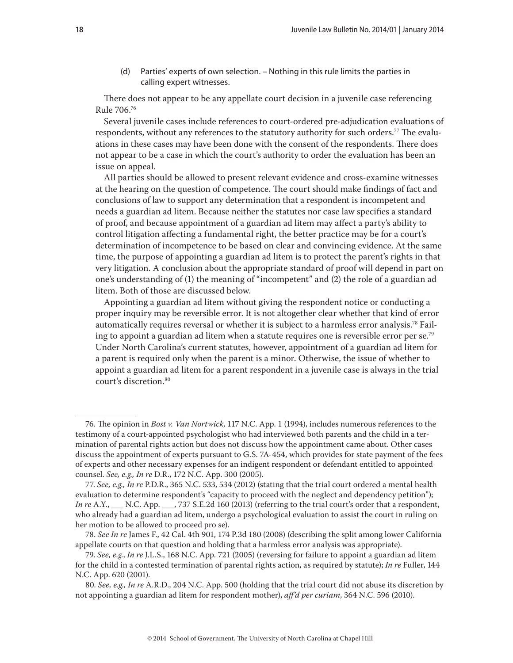(d) Parties' experts of own selection. – Nothing in this rule limits the parties in calling expert witnesses.

There does not appear to be any appellate court decision in a juvenile case referencing Rule 706.76

Several juvenile cases include references to court-ordered pre-adjudication evaluations of respondents, without any references to the statutory authority for such orders.<sup>77</sup> The evaluations in these cases may have been done with the consent of the respondents. There does not appear to be a case in which the court's authority to order the evaluation has been an issue on appeal.

All parties should be allowed to present relevant evidence and cross-examine witnesses at the hearing on the question of competence. The court should make findings of fact and conclusions of law to support any determination that a respondent is incompetent and needs a guardian ad litem. Because neither the statutes nor case law specifies a standard of proof, and because appointment of a guardian ad litem may affect a party's ability to control litigation affecting a fundamental right, the better practice may be for a court's determination of incompetence to be based on clear and convincing evidence. At the same time, the purpose of appointing a guardian ad litem is to protect the parent's rights in that very litigation. A conclusion about the appropriate standard of proof will depend in part on one's understanding of (1) the meaning of "incompetent" and (2) the role of a guardian ad litem. Both of those are discussed below.

Appointing a guardian ad litem without giving the respondent notice or conducting a proper inquiry may be reversible error. It is not altogether clear whether that kind of error automatically requires reversal or whether it is subject to a harmless error analysis.<sup>78</sup> Failing to appoint a guardian ad litem when a statute requires one is reversible error per se.<sup>79</sup> Under North Carolina's current statutes, however, appointment of a guardian ad litem for a parent is required only when the parent is a minor. Otherwise, the issue of whether to appoint a guardian ad litem for a parent respondent in a juvenile case is always in the trial court's discretion.80

<sup>76.</sup> The opinion in *Bost v. Van Nortwick*, 117 N.C. App. 1 (1994), includes numerous references to the testimony of a court-appointed psychologist who had interviewed both parents and the child in a termination of parental rights action but does not discuss how the appointment came about. Other cases discuss the appointment of experts pursuant to G.S. 7A-454, which provides for state payment of the fees of experts and other necessary expenses for an indigent respondent or defendant entitled to appointed counsel. *See, e.g., In re* D.R., 172 N.C. App. 300 (2005).

<sup>77.</sup> *See, e.g., In re* P.D.R., 365 N.C. 533, 534 (2012) (stating that the trial court ordered a mental health evaluation to determine respondent's "capacity to proceed with the neglect and dependency petition"); *In re* A.Y., \_\_\_ N.C. App. \_\_, 737 S.E.2d 160 (2013) (referring to the trial court's order that a respondent, who already had a guardian ad litem, undergo a psychological evaluation to assist the court in ruling on her motion to be allowed to proceed pro se).

<sup>78.</sup> *See In re* James F., 42 Cal. 4th 901, 174 P.3d 180 (2008) (describing the split among lower California appellate courts on that question and holding that a harmless error analysis was appropriate).

<sup>79.</sup> *See, e.g.*, *In re* J.L.S., 168 N.C. App. 721 (2005) (reversing for failure to appoint a guardian ad litem for the child in a contested termination of parental rights action, as required by statute); *In re* Fuller, 144 N.C. App. 620 (2001).

<sup>80.</sup> *See, e.g., In re* A.R.D., 204 N.C. App. 500 (holding that the trial court did not abuse its discretion by not appointing a guardian ad litem for respondent mother), *aff'd per curiam*, 364 N.C. 596 (2010).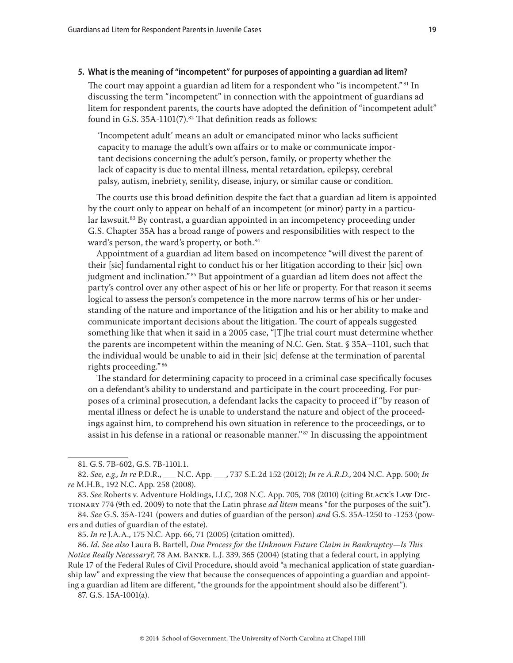#### **5. What is the meaning of "incompetent" for purposes of appointing a guardian ad litem?**

The court may appoint a guardian ad litem for a respondent who "is incompetent." <sup>81</sup> In discussing the term "incompetent" in connection with the appointment of guardians ad litem for respondent parents, the courts have adopted the definition of "incompetent adult" found in G.S. 35A-1101(7). $82$  That definition reads as follows:

'Incompetent adult' means an adult or emancipated minor who lacks sufficient capacity to manage the adult's own affairs or to make or communicate important decisions concerning the adult's person, family, or property whether the lack of capacity is due to mental illness, mental retardation, epilepsy, cerebral palsy, autism, inebriety, senility, disease, injury, or similar cause or condition.

The courts use this broad definition despite the fact that a guardian ad litem is appointed by the court only to appear on behalf of an incompetent (or minor) party in a particular lawsuit.<sup>83</sup> By contrast, a guardian appointed in an incompetency proceeding under G.S. Chapter 35A has a broad range of powers and responsibilities with respect to the ward's person, the ward's property, or both.<sup>84</sup>

Appointment of a guardian ad litem based on incompetence "will divest the parent of their [sic] fundamental right to conduct his or her litigation according to their [sic] own judgment and inclination."<sup>85</sup> But appointment of a guardian ad litem does not affect the party's control over any other aspect of his or her life or property. For that reason it seems logical to assess the person's competence in the more narrow terms of his or her understanding of the nature and importance of the litigation and his or her ability to make and communicate important decisions about the litigation. The court of appeals suggested something like that when it said in a 2005 case, "[T]he trial court must determine whether the parents are incompetent within the meaning of N.C. Gen. Stat. § 35A–1101, such that the individual would be unable to aid in their [sic] defense at the termination of parental rights proceeding." <sup>86</sup>

The standard for determining capacity to proceed in a criminal case specifically focuses on a defendant's ability to understand and participate in the court proceeding. For purposes of a criminal prosecution, a defendant lacks the capacity to proceed if "by reason of mental illness or defect he is unable to understand the nature and object of the proceedings against him, to comprehend his own situation in reference to the proceedings, or to assist in his defense in a rational or reasonable manner." 87 In discussing the appointment

84. *See* G.S. 35A-1241 (powers and duties of guardian of the person) *and* G.S. 35A-1250 to -1253 (powers and duties of guardian of the estate).

86. *Id. See also* Laura B. Bartell, *Due Process for the Unknown Future Claim in Bankruptcy—Is This Notice Really Necessary?*, 78 Am. Bankr. L.J. 339, 365 (2004) (stating that a federal court, in applying Rule 17 of the Federal Rules of Civil Procedure, should avoid "a mechanical application of state guardianship law" and expressing the view that because the consequences of appointing a guardian and appointing a guardian ad litem are different, "the grounds for the appointment should also be different").

87. G.S. 15A-1001(a).

<sup>81.</sup> G.S. 7B-602, G.S. 7B-1101.1.

<sup>82.</sup> *See, e.g., In re* P.D.R., \_\_\_ N.C. App. \_\_\_, 737 S.E.2d 152 (2012); *In re A.R.D.*, 204 N.C. App. 500; *In re* M.H.B., 192 N.C. App. 258 (2008).

<sup>83.</sup> *See* Roberts v. Adventure Holdings, LLC, 208 N.C. App. 705, 708 (2010) (citing Black's Law Dictionary 774 (9th ed. 2009) to note that the Latin phrase *ad litem* means "for the purposes of the suit").

<sup>85.</sup> *In re* J.A.A., 175 N.C. App. 66, 71 (2005) (citation omitted).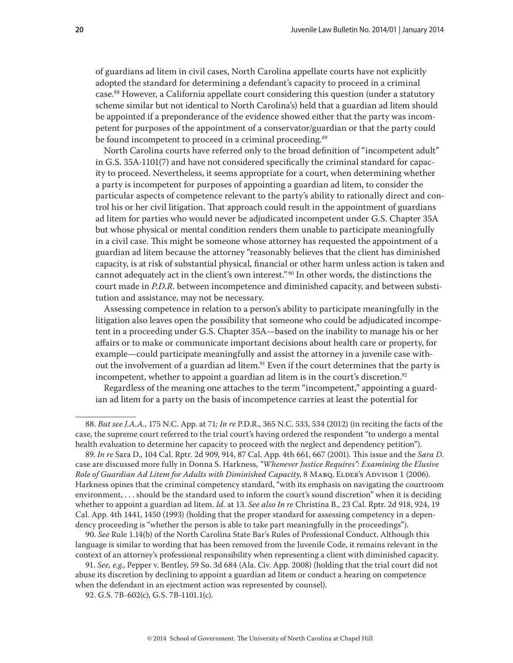of guardians ad litem in civil cases, North Carolina appellate courts have not explicitly adopted the standard for determining a defendant's capacity to proceed in a criminal case.88 However, a California appellate court considering this question (under a statutory scheme similar but not identical to North Carolina's) held that a guardian ad litem should be appointed if a preponderance of the evidence showed either that the party was incompetent for purposes of the appointment of a conservator/guardian or that the party could be found incompetent to proceed in a criminal proceeding.<sup>89</sup>

North Carolina courts have referred only to the broad definition of "incompetent adult" in G.S. 35A-1101(7) and have not considered specifically the criminal standard for capacity to proceed. Nevertheless, it seems appropriate for a court, when determining whether a party is incompetent for purposes of appointing a guardian ad litem, to consider the particular aspects of competence relevant to the party's ability to rationally direct and control his or her civil litigation. That approach could result in the appointment of guardians ad litem for parties who would never be adjudicated incompetent under G.S. Chapter 35A but whose physical or mental condition renders them unable to participate meaningfully in a civil case. This might be someone whose attorney has requested the appointment of a guardian ad litem because the attorney "reasonably believes that the client has diminished capacity, is at risk of substantial physical, financial or other harm unless action is taken and cannot adequately act in the client's own interest." 90 In other words, the distinctions the court made in *P.D.R.* between incompetence and diminished capacity, and between substitution and assistance, may not be necessary.

Assessing competence in relation to a person's ability to participate meaningfully in the litigation also leaves open the possibility that someone who could be adjudicated incompetent in a proceeding under G.S. Chapter 35A—based on the inability to manage his or her affairs or to make or communicate important decisions about health care or property, for example—could participate meaningfully and assist the attorney in a juvenile case without the involvement of a guardian ad litem.<sup>91</sup> Even if the court determines that the party is incompetent, whether to appoint a guardian ad litem is in the court's discretion.<sup>92</sup>

Regardless of the meaning one attaches to the term "incompetent," appointing a guardian ad litem for a party on the basis of incompetence carries at least the potential for

90. *See* Rule 1.14(b) of the North Carolina State Bar's Rules of Professional Conduct. Although this language is similar to wording that has been removed from the Juvenile Code, it remains relevant in the context of an attorney's professional responsibility when representing a client with diminished capacity.

<sup>88.</sup> *But see J.A.A.*, 175 N.C. App. at 71*; In re* P.D.R., 365 N.C. 533, 534 (2012) (in reciting the facts of the case, the supreme court referred to the trial court's having ordered the respondent "to undergo a mental health evaluation to determine her capacity to proceed with the neglect and dependency petition").

<sup>89.</sup> *In re* Sara D., 104 Cal. Rptr. 2d 909, 914, 87 Cal. App. 4th 661, 667 (2001). This issue and the *Sara D*. case are discussed more fully in Donna S. Harkness, *"Whenever Justice Requires": Examining the Elusive Role of Guardian Ad Litem for Adults with Diminished Capacity*, 8 MARQ. ELDER'S ADVISOR 1 (2006). Harkness opines that the criminal competency standard, "with its emphasis on navigating the courtroom environment, . . . should be the standard used to inform the court's sound discretion" when it is deciding whether to appoint a guardian ad litem. *Id.* at 13. *See also In re* Christina B., 23 Cal. Rptr. 2d 918, 924, 19 Cal. App. 4th 1441, 1450 (1993) (holding that the proper standard for assessing competency in a dependency proceeding is "whether the person is able to take part meaningfully in the proceedings").

<sup>91.</sup> *See, e.g.*, Pepper v. Bentley, 59 So. 3d 684 (Ala. Civ. App. 2008) (holding that the trial court did not abuse its discretion by declining to appoint a guardian ad litem or conduct a hearing on competence when the defendant in an ejectment action was represented by counsel).

<sup>92.</sup> G.S. 7B-602(c), G.S. 7B-1101.1(c).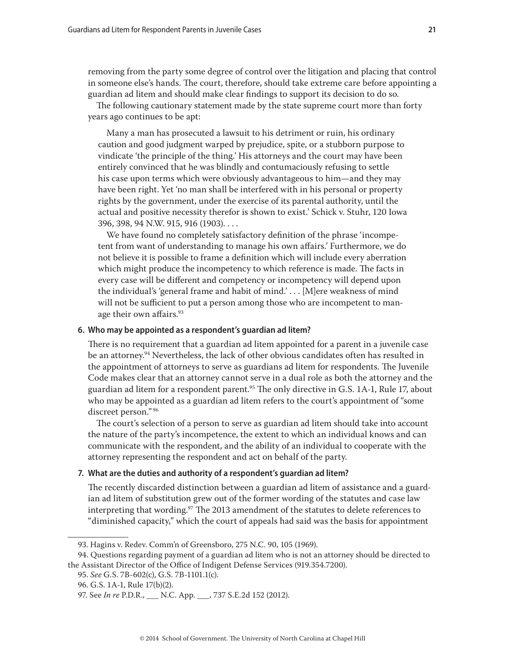removing from the party some degree of control over the litigation and placing that control in someone else's hands. The court, therefore, should take extreme care before appointing a guardian ad litem and should make clear findings to support its decision to do so.

The following cautionary statement made by the state supreme court more than forty years ago continues to be apt:

Many a man has prosecuted a lawsuit to his detriment or ruin, his ordinary caution and good judgment warped by prejudice, spite, or a stubborn purpose to vindicate 'the principle of the thing.' His attorneys and the court may have been entirely convinced that he was blindly and contumaciously refusing to settle his case upon terms which were obviously advantageous to him—and they may have been right. Yet 'no man shall be interfered with in his personal or property rights by the government, under the exercise of its parental authority, until the actual and positive necessity therefor is shown to exist.' Schick v. Stuhr, 120 Iowa 396, 398, 94 N.W. 915, 916 (1903). . . .

We have found no completely satisfactory definition of the phrase 'incompetent from want of understanding to manage his own affairs.' Furthermore, we do not believe it is possible to frame a definition which will include every aberration which might produce the incompetency to which reference is made. The facts in every case will be different and competency or incompetency will depend upon the individual's 'general frame and habit of mind.' . . . [M]ere weakness of mind will not be sufficient to put a person among those who are incompetent to manage their own affairs.<sup>93</sup>

### **6. Who may be appointed as a respondent's guardian ad litem?**

There is no requirement that a guardian ad litem appointed for a parent in a juvenile case be an attorney.94 Nevertheless, the lack of other obvious candidates often has resulted in the appointment of attorneys to serve as guardians ad litem for respondents. The Juvenile Code makes clear that an attorney cannot serve in a dual role as both the attorney and the guardian ad litem for a respondent parent.<sup>95</sup> The only directive in G.S. 1A-1, Rule 17, about who may be appointed as a guardian ad litem refers to the court's appointment of "some discreet person." <sup>96</sup>

The court's selection of a person to serve as guardian ad litem should take into account the nature of the party's incompetence, the extent to which an individual knows and can communicate with the respondent, and the ability of an individual to cooperate with the attorney representing the respondent and act on behalf of the party.

#### **7. What are the duties and authority of a respondent's guardian ad litem?**

The recently discarded distinction between a guardian ad litem of assistance and a guardian ad litem of substitution grew out of the former wording of the statutes and case law interpreting that wording.<sup>97</sup> The 2013 amendment of the statutes to delete references to "diminished capacity," which the court of appeals had said was the basis for appointment

<sup>93.</sup> Hagins v. Redev. Comm'n of Greensboro, 275 N.C. 90, 105 (1969).

<sup>94.</sup> Questions regarding payment of a guardian ad litem who is not an attorney should be directed to the Assistant Director of the Office of Indigent Defense Services (919.354.7200).

<sup>95.</sup> *See* G.S. 7B-602(c), G.S. 7B-1101.1(c).

<sup>96.</sup> G.S. 1A-1, Rule 17(b)(2).

<sup>97.</sup> See *In re* P.D.R., \_\_\_ N.C. App. \_\_\_, 737 S.E.2d 152 (2012).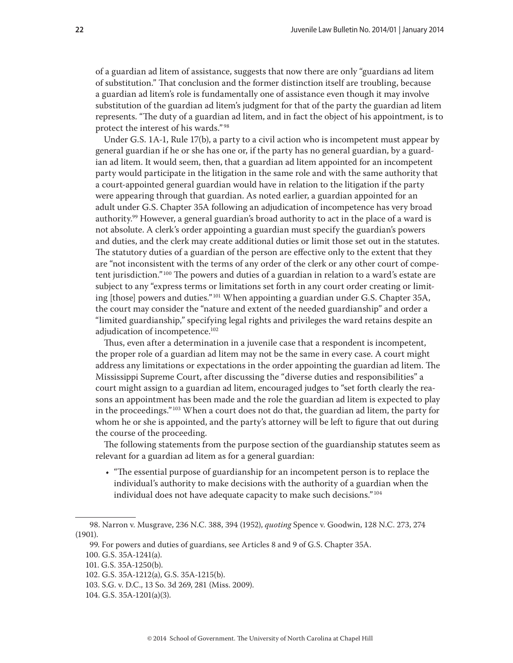of a guardian ad litem of assistance, suggests that now there are only "guardians ad litem of substitution." That conclusion and the former distinction itself are troubling, because a guardian ad litem's role is fundamentally one of assistance even though it may involve substitution of the guardian ad litem's judgment for that of the party the guardian ad litem represents. "The duty of a guardian ad litem, and in fact the object of his appointment, is to protect the interest of his wards." <sup>98</sup>

Under G.S. 1A-1, Rule 17(b), a party to a civil action who is incompetent must appear by general guardian if he or she has one or, if the party has no general guardian, by a guardian ad litem. It would seem, then, that a guardian ad litem appointed for an incompetent party would participate in the litigation in the same role and with the same authority that a court-appointed general guardian would have in relation to the litigation if the party were appearing through that guardian. As noted earlier, a guardian appointed for an adult under G.S. Chapter 35A following an adjudication of incompetence has very broad authority.<sup>99</sup> However, a general guardian's broad authority to act in the place of a ward is not absolute. A clerk's order appointing a guardian must specify the guardian's powers and duties, and the clerk may create additional duties or limit those set out in the statutes. The statutory duties of a guardian of the person are effective only to the extent that they are "not inconsistent with the terms of any order of the clerk or any other court of competent jurisdiction." 100 The powers and duties of a guardian in relation to a ward's estate are subject to any "express terms or limitations set forth in any court order creating or limiting [those] powers and duties.<sup>"101</sup> When appointing a guardian under G.S. Chapter 35A, the court may consider the "nature and extent of the needed guardianship" and order a "limited guardianship," specifying legal rights and privileges the ward retains despite an adjudication of incompetence.<sup>102</sup>

Thus, even after a determination in a juvenile case that a respondent is incompetent, the proper role of a guardian ad litem may not be the same in every case. A court might address any limitations or expectations in the order appointing the guardian ad litem. The Mississippi Supreme Court, after discussing the "diverse duties and responsibilities" a court might assign to a guardian ad litem, encouraged judges to "set forth clearly the reasons an appointment has been made and the role the guardian ad litem is expected to play in the proceedings." 103 When a court does not do that, the guardian ad litem, the party for whom he or she is appointed, and the party's attorney will be left to figure that out during the course of the proceeding.

The following statements from the purpose section of the guardianship statutes seem as relevant for a guardian ad litem as for a general guardian:

• "The essential purpose of guardianship for an incompetent person is to replace the individual's authority to make decisions with the authority of a guardian when the individual does not have adequate capacity to make such decisions." <sup>104</sup>

<sup>98.</sup> Narron v. Musgrave, 236 N.C. 388, 394 (1952), *quoting* Spence v. Goodwin, 128 N.C. 273, 274 (1901).

<sup>99.</sup> For powers and duties of guardians, see Articles 8 and 9 of G.S. Chapter 35A.

<sup>100.</sup> G.S. 35A-1241(a).

<sup>101.</sup> G.S. 35A-1250(b).

<sup>102.</sup> G.S. 35A-1212(a), G.S. 35A-1215(b).

<sup>103.</sup> S.G. v. D.C., 13 So. 3d 269, 281 (Miss. 2009).

<sup>104.</sup> G.S. 35A-1201(a)(3).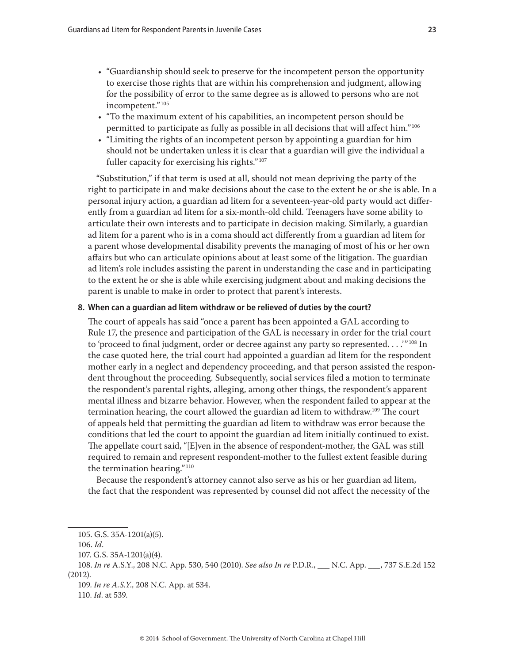- "Guardianship should seek to preserve for the incompetent person the opportunity to exercise those rights that are within his comprehension and judgment, allowing for the possibility of error to the same degree as is allowed to persons who are not incompetent." <sup>105</sup>
- "To the maximum extent of his capabilities, an incompetent person should be permitted to participate as fully as possible in all decisions that will affect him." <sup>106</sup>
- "Limiting the rights of an incompetent person by appointing a guardian for him should not be undertaken unless it is clear that a guardian will give the individual a fuller capacity for exercising his rights." <sup>107</sup>

"Substitution," if that term is used at all, should not mean depriving the party of the right to participate in and make decisions about the case to the extent he or she is able. In a personal injury action, a guardian ad litem for a seventeen-year-old party would act differently from a guardian ad litem for a six-month-old child. Teenagers have some ability to articulate their own interests and to participate in decision making. Similarly, a guardian ad litem for a parent who is in a coma should act differently from a guardian ad litem for a parent whose developmental disability prevents the managing of most of his or her own affairs but who can articulate opinions about at least some of the litigation. The guardian ad litem's role includes assisting the parent in understanding the case and in participating to the extent he or she is able while exercising judgment about and making decisions the parent is unable to make in order to protect that parent's interests.

### **8. When can a guardian ad litem withdraw or be relieved of duties by the court?**

The court of appeals has said "once a parent has been appointed a GAL according to Rule 17, the presence and participation of the GAL is necessary in order for the trial court to 'proceed to final judgment, order or decree against any party so represented...."<sup>108</sup> In the case quoted here*,* the trial court had appointed a guardian ad litem for the respondent mother early in a neglect and dependency proceeding, and that person assisted the respondent throughout the proceeding. Subsequently, social services filed a motion to terminate the respondent's parental rights, alleging, among other things, the respondent's apparent mental illness and bizarre behavior. However, when the respondent failed to appear at the termination hearing, the court allowed the guardian ad litem to withdraw.109 The court of appeals held that permitting the guardian ad litem to withdraw was error because the conditions that led the court to appoint the guardian ad litem initially continued to exist. The appellate court said, "[E]ven in the absence of respondent-mother, the GAL was still required to remain and represent respondent-mother to the fullest extent feasible during the termination hearing." <sup>110</sup>

Because the respondent's attorney cannot also serve as his or her guardian ad litem, the fact that the respondent was represented by counsel did not affect the necessity of the

<sup>105.</sup> G.S. 35A-1201(a)(5).

<sup>106.</sup> *Id*.

<sup>107.</sup> G.S. 35A-1201(a)(4).

<sup>108.</sup> *In re* A.S.Y., 208 N.C. App. 530, 540 (2010). *See also In re* P.D.R., \_\_\_ N.C. App. \_\_\_, 737 S.E.2d 152 (2012).

<sup>109.</sup> *In re A.S.Y*., 208 N.C. App. at 534.

<sup>110.</sup> *Id*. at 539.